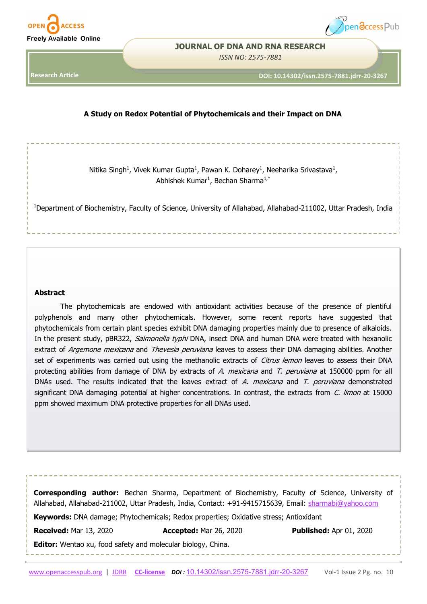



#### **JOURNAL OF DNA AND RNA RESEARCH**

*ISSN NO: 2575-7881* 

**Research Article**

**DOI: 10.14302/issn.2575-7881.jdrr-20-3267** 

## **A Study on Redox Potential of Phytochemicals and their Impact on DNA**

Nitika Singh<sup>1</sup>, Vivek Kumar Gupta<sup>1</sup>, Pawan K. Doharey<sup>1</sup>, Neeharika Srivastava<sup>1</sup>, Abhishek Kumar<sup>1</sup>, Bechan Sharma<sup>1,\*</sup>

<sup>1</sup>Department of Biochemistry, Faculty of Science, University of Allahabad, Allahabad-211002, Uttar Pradesh, India

#### **Abstract**

The phytochemicals are endowed with antioxidant activities because of the presence of plentiful polyphenols and many other phytochemicals. However, some recent reports have suggested that phytochemicals from certain plant species exhibit DNA damaging properties mainly due to presence of alkaloids. In the present study, pBR322, Salmonella typhi DNA, insect DNA and human DNA were treated with hexanolic extract of Argemone mexicana and Thevesia peruviana leaves to assess their DNA damaging abilities. Another set of experiments was carried out using the methanolic extracts of *Citrus lemon* leaves to assess their DNA protecting abilities from damage of DNA by extracts of A. mexicana and T. peruviana at 150000 ppm for all DNAs used. The results indicated that the leaves extract of A. mexicana and T. peruviana demonstrated significant DNA damaging potential at higher concentrations. In contrast, the extracts from C. limon at 15000 ppm showed maximum DNA protective properties for all DNAs used.

**Corresponding author:** Bechan Sharma, Department of Biochemistry, Faculty of Science, University of Allahabad, Allahabad-211002, Uttar Pradesh, India, Contact: +91-9415715639, Email: [sharmabi@yahoo.com](mailto:sharmabi@yahoo.com)

**Keywords:** DNA damage; Phytochemicals; Redox properties; Oxidative stress; Antioxidant

**Received:** Mar 13, 2020 **Accepted:** Mar 26, 2020 **Published:** Apr 01, 2020

**Editor:** Wentao xu, food safety and molecular biology, China.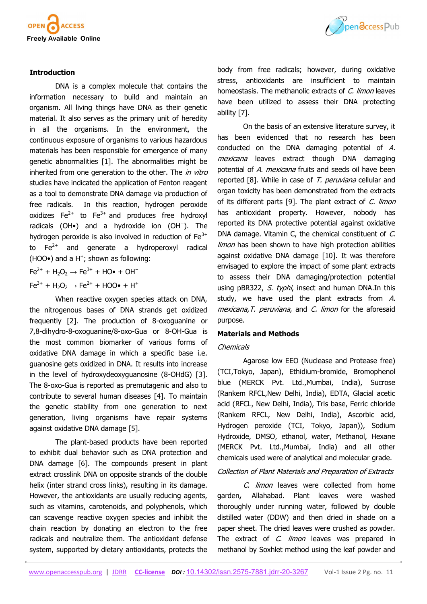

## **Introduction**

DNA is a complex molecule that contains the information necessary to build and maintain an organism. All living things have DNA as their genetic material. It also serves as the primary unit of heredity in all the organisms. In the environment, the continuous exposure of organisms to various hazardous materials has been responsible for emergence of many genetic abnormalities [1]. The abnormalities might be inherited from one generation to the other. The in vitro studies have indicated the application of Fenton reagent as a tool to demonstrate DNA damage via production of free radicals. In this reaction, hydrogen peroxide oxidizes  $Fe^{2+}$  $Fe^{2+}$  to  $Fe^{3+}$  and produces free hydroxyl [radicals](https://en.wikipedia.org/wiki/Hydroxyl_radical) (OH•) and a [hydroxide ion](https://en.wikipedia.org/wiki/Hydroxide_ion) (OH<sup>−</sup> ). The hydrogen peroxide is also involved in reduction of [Fe](https://en.wikipedia.org/wiki/Iron(III))<sup>3+</sup> to  $Fe<sup>2+</sup>$  and generate a hydroperoxyl radical  $(HOO<sup>•</sup>)$  and a H<sup>+</sup>; shown as following:

$$
Fe^{2+} + H_2O_2 \rightarrow Fe^{3+} + HO\bullet + OH^-
$$
  

$$
Fe^{3+} + H_2O_2 \rightarrow Fe^{2+} + HOO\bullet + H^+
$$

When reactive oxygen species attack on DNA, the nitrogenous bases of DNA strands get oxidized frequently [2]. The production of 8-oxoguanine or 7,8-dihydro-8-oxoguanine/8-oxo-Gua or 8-OH-Gua is the most common biomarker of various forms of oxidative DNA damage in which a specific base i.e. guanosine gets oxidized in DNA. It results into increase in the level of hydroxydeoxyguanosine (8-OHdG) [3]. The 8-oxo-Gua is reported as premutagenic and also to contribute to several human diseases [4]. To maintain the genetic stability from one generation to next generation, living organisms have repair systems against oxidative DNA damage [5].

The plant-based products have been reported to exhibit dual behavior such as DNA protection and DNA damage [6]. The compounds present in plant extract crosslink DNA on opposite strands of the double helix (inter strand cross links), resulting in its damage. However, the antioxidants are usually reducing agents, such as vitamins, carotenoids, and polyphenols, which can scavenge reactive oxygen species and inhibit the chain reaction by donating an electron to the free radicals and neutralize them. The antioxidant defense system, supported by dietary antioxidants, protects the



body from free radicals; however, during oxidative stress, antioxidants are insufficient to maintain homeostasis. The methanolic extracts of C. limon leaves have been utilized to assess their DNA protecting ability [7].

On the basis of an extensive literature survey, it has been evidenced that no research has been conducted on the DNA damaging potential of A. mexicana leaves extract though DNA damaging potential of A. mexicana fruits and seeds oil have been reported [8]. While in case of T. peruviana cellular and organ toxicity has been demonstrated from the extracts of its different parts [9]. The plant extract of C. limon has antioxidant property. However, nobody has reported its DNA protective potential against oxidative DNA damage. Vitamin C, the chemical constituent of C. limon has been shown to have high protection abilities against oxidative DNA damage [10]. It was therefore envisaged to explore the impact of some plant extracts to assess their DNA damaging/protection potential using pBR322, S. typhi, insect and human DNA.In this study, we have used the plant extracts from A. mexicana, T. peruviana, and C. limon for the aforesaid purpose.

#### **Materials and Methods**

#### **Chemicals**

Agarose low EEO (Nuclease and Protease free) (TCI,Tokyo, Japan), Ethidium-bromide, Bromophenol blue (MERCK Pvt. Ltd.,Mumbai, India), Sucrose (Rankem RFCL,New Delhi, India), EDTA, Glacial acetic acid (RFCL, New Delhi, India), Tris base, Ferric chloride (Rankem RFCL, New Delhi, India), Ascorbic acid, Hydrogen peroxide (TCI, Tokyo, Japan)), Sodium Hydroxide, DMSO, ethanol, water, Methanol, Hexane (MERCK Pvt. Ltd.,Mumbai, India) and all other chemicals used were of analytical and molecular grade.

#### Collection of Plant Materials and Preparation of Extracts

C. limon leaves were collected from home garden**,** Allahabad. Plant leaves were washed thoroughly under running water, followed by double distilled water (DDW) and then dried in shade on a paper sheet. The dried leaves were crushed as powder. The extract of C. limon leaves was prepared in methanol by Soxhlet method using the leaf powder and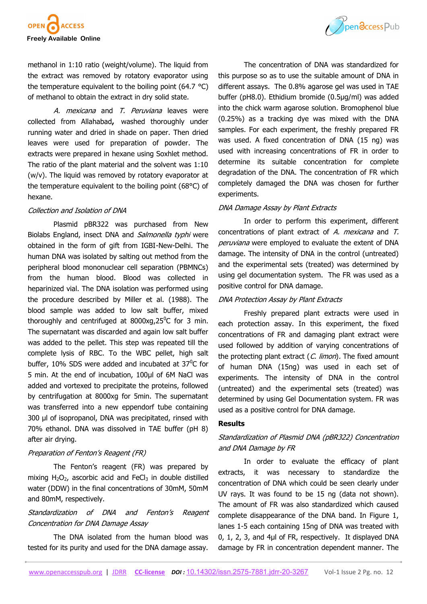

methanol in 1:10 ratio (weight/volume). The liquid from the extract was removed by rotatory evaporator using the temperature equivalent to the boiling point (64.7 °C) of methanol to obtain the extract in dry solid state.

A. mexicana and T. Peruviana leaves were collected from Allahabad**,** washed thoroughly under running water and dried in shade on paper. Then dried leaves were used for preparation of powder. The extracts were prepared in hexane using Soxhlet method. The ratio of the plant material and the solvent was 1:10 (w/v). The liquid was removed by rotatory evaporator at the temperature equivalent to the boiling point (68°C) of hexane.

#### Collection and Isolation of DNA

Plasmid pBR322 was purchased from New Biolabs England, insect DNA and Salmonella typhi were obtained in the form of gift from IGBI-New-Delhi. The human DNA was isolated by salting out method from the peripheral blood mononuclear cell separation (PBMNCs) from the human blood. Blood was collected in heparinized vial. The DNA isolation was performed using the procedure described by Miller et al. (1988). The blood sample was added to low salt buffer, mixed thoroughly and centrifuged at  $8000xq,25^{\circ}$ C for 3 min. The supernatant was discarded and again low salt buffer was added to the pellet. This step was repeated till the complete lysis of RBC. To the WBC pellet, high salt buffer, 10% SDS were added and incubated at  $37^{\circ}$ C for 5 min. At the end of incubation, 100µl of 6M NaCl was added and vortexed to precipitate the proteins, followed by centrifugation at 8000xg for 5min. The supernatant was transferred into a new eppendorf tube containing 300 µl of isopropanol, DNA was precipitated, rinsed with 70% ethanol. DNA was dissolved in TAE buffer (pH 8) after air drying.

## Preparation of Fenton's Reagent (FR)

The Fenton's reagent (FR) was prepared by mixing  $H_2O_2$ , ascorbic acid and FeCl<sub>3</sub> in double distilled water (DDW) in the final concentrations of 30mM, 50mM and 80mM, respectively.

# Standardization of DNA and Fenton's Reagent Concentration for DNA Damage Assay

The DNA isolated from the human blood was tested for its purity and used for the DNA damage assay.



The concentration of DNA was standardized for this purpose so as to use the suitable amount of DNA in different assays. The 0.8% agarose gel was used in TAE buffer (pH8.0). Ethidium bromide (0.5µg/ml) was added into the chick warm agarose solution. Bromophenol blue (0.25%) as a tracking dye was mixed with the DNA samples. For each experiment, the freshly prepared FR was used. A fixed concentration of DNA (15 ng) was used with increasing concentrations of FR in order to determine its suitable concentration for complete degradation of the DNA. The concentration of FR which completely damaged the DNA was chosen for further experiments.

## DNA Damage Assay by Plant Extracts

In order to perform this experiment, different concentrations of plant extract of A. mexicana and T. peruviana were employed to evaluate the extent of DNA damage. The intensity of DNA in the control (untreated) and the experimental sets (treated) was determined by using gel documentation system. The FR was used as a positive control for DNA damage.

#### DNA Protection Assay by Plant Extracts

Freshly prepared plant extracts were used in each protection assay. In this experiment, the fixed concentrations of FR and damaging plant extract were used followed by addition of varying concentrations of the protecting plant extract  $(C.$  limon). The fixed amount of human DNA (15ng) was used in each set of experiments. The intensity of DNA in the control (untreated) and the experimental sets (treated) was determined by using Gel Documentation system. FR was used as a positive control for DNA damage.

## **Results**

# Standardization of Plasmid DNA (pBR322) Concentration and DNA Damage by FR

In order to evaluate the efficacy of plant extracts, it was necessary to standardize the concentration of DNA which could be seen clearly under UV rays. It was found to be 15 ng (data not shown). The amount of FR was also standardized which caused complete disappearance of the DNA band. In Figure 1, lanes 1-5 each containing 15ng of DNA was treated with 0, 1, 2, 3, and 4µl of FR, respectively. It displayed DNA damage by FR in concentration dependent manner. The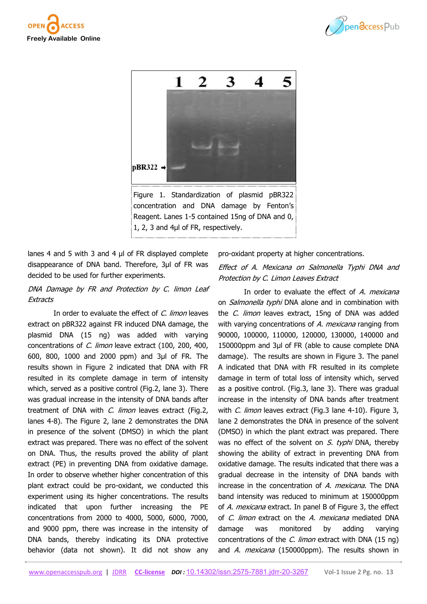





lanes 4 and 5 with 3 and 4  $\mu$  of FR displayed complete disappearance of DNA band. Therefore, 3µl of FR was decided to be used for further experiments.

# DNA Damage by FR and Protection by C. limon Leaf **Extracts**

In order to evaluate the effect of C. limon leaves extract on pBR322 against FR induced DNA damage, the plasmid DNA (15 ng) was added with varying concentrations of C. limon leave extract (100, 200, 400, 600, 800, 1000 and 2000 ppm) and 3µl of FR. The results shown in Figure 2 indicated that DNA with FR resulted in its complete damage in term of intensity which, served as a positive control (Fig.2, lane 3). There was gradual increase in the intensity of DNA bands after treatment of DNA with C. limon leaves extract (Fig.2, lanes 4-8). The Figure 2, lane 2 demonstrates the DNA in presence of the solvent (DMSO) in which the plant extract was prepared. There was no effect of the solvent on DNA. Thus, the results proved the ability of plant extract (PE) in preventing DNA from oxidative damage. In order to observe whether higher concentration of this plant extract could be pro-oxidant, we conducted this experiment using its higher concentrations. The results indicated that upon further increasing the PE concentrations from 2000 to 4000, 5000, 6000, 7000, and 9000 ppm, there was increase in the intensity of DNA bands, thereby indicating its DNA protective behavior (data not shown). It did not show any

pro-oxidant property at higher concentrations.

## Effect of A. Mexicana on Salmonella Typhi DNA and Protection by C. Limon Leaves Extract

In order to evaluate the effect of A. mexicana on *Salmonella typhi* DNA alone and in combination with the *C. limon* leaves extract, 15ng of DNA was added with varying concentrations of A. mexicana ranging from 90000, 100000, 110000, 120000, 130000, 140000 and 150000ppm and 3µl of FR (able to cause complete DNA damage). The results are shown in Figure 3. The panel A indicated that DNA with FR resulted in its complete damage in term of total loss of intensity which, served as a positive control. (Fig.3, lane 3). There was gradual increase in the intensity of DNA bands after treatment with *C. limon* leaves extract (Fig.3 lane 4-10). Figure 3, lane 2 demonstrates the DNA in presence of the solvent (DMSO) in which the plant extract was prepared. There was no effect of the solvent on  $S$ . typhi DNA, thereby showing the ability of extract in preventing DNA from oxidative damage. The results indicated that there was a gradual decrease in the intensity of DNA bands with increase in the concentration of A. mexicana. The DNA band intensity was reduced to minimum at 150000ppm of A. mexicana extract. In panel B of Figure 3, the effect of C. limon extract on the A. mexicana mediated DNA damage was monitored by adding varying concentrations of the *C. limon* extract with DNA (15 ng) and A. mexicana (150000ppm). The results shown in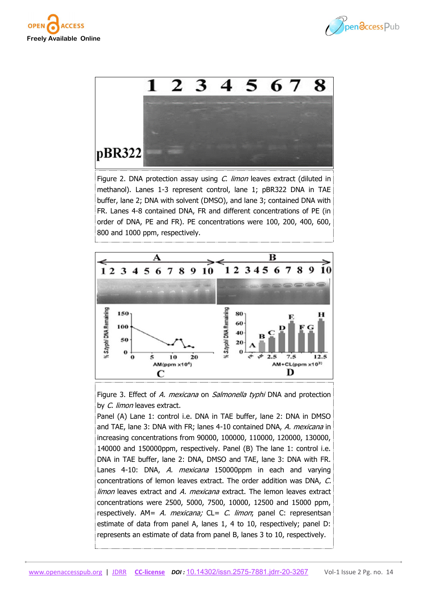





Figure 2. DNA protection assay using C. limon leaves extract (diluted in methanol). Lanes 1-3 represent control, lane 1; pBR322 DNA in TAE buffer, lane 2; DNA with solvent (DMSO), and lane 3; contained DNA with FR. Lanes 4-8 contained DNA, FR and different concentrations of PE (in order of DNA, PE and FR). PE concentrations were 100, 200, 400, 600, 800 and 1000 ppm, respectively.



Figure 3. Effect of A. mexicana on Salmonella typhi DNA and protection by *C. limon* leaves extract.

Panel (A) Lane 1: control i.e. DNA in TAE buffer, lane 2: DNA in DMSO and TAE, lane 3: DNA with FR; lanes 4-10 contained DNA, A. mexicana in increasing concentrations from 90000, 100000, 110000, 120000, 130000, 140000 and 150000ppm, respectively. Panel (B) The lane 1: control i.e. DNA in TAE buffer, lane 2: DNA, DMSO and TAE, lane 3: DNA with FR. Lanes 4-10: DNA, A. mexicana 150000ppm in each and varying concentrations of lemon leaves extract. The order addition was DNA, C. limon leaves extract and A. mexicana extract. The lemon leaves extract concentrations were 2500, 5000, 7500, 10000, 12500 and 15000 ppm, respectively.  $AM = A$ . mexicana;  $CL = C$ . limon; panel C: representsan estimate of data from panel A, lanes 1, 4 to 10, respectively; panel D: represents an estimate of data from panel B, lanes 3 to 10, respectively.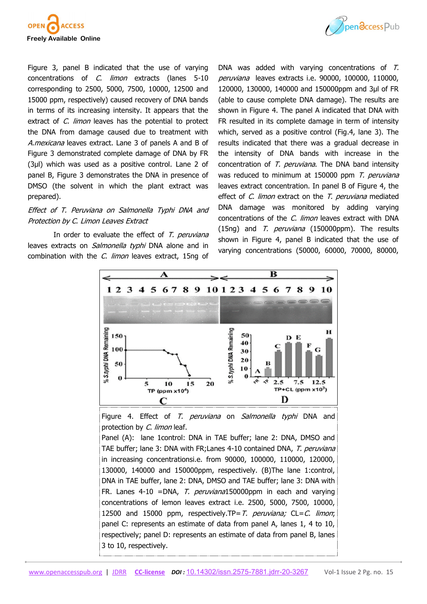



Figure 3, panel B indicated that the use of varying concentrations of C. limon extracts (lanes 5-10 corresponding to 2500, 5000, 7500, 10000, 12500 and 15000 ppm, respectively) caused recovery of DNA bands in terms of its increasing intensity. It appears that the extract of C. limon leaves has the potential to protect the DNA from damage caused due to treatment with A.mexicana leaves extract. Lane 3 of panels A and B of Figure 3 demonstrated complete damage of DNA by FR (3µl) which was used as a positive control. Lane 2 of panel B, Figure 3 demonstrates the DNA in presence of DMSO (the solvent in which the plant extract was prepared).

## Effect of T. Peruviana on Salmonella Typhi DNA and Protection by C. Limon Leaves Extract

In order to evaluate the effect of  $T$ . peruviana leaves extracts on *Salmonella typhi* DNA alone and in combination with the *C. limon* leaves extract, 15ng of

DNA was added with varying concentrations of T. peruviana leaves extracts i.e. 90000, 100000, 110000, 120000, 130000, 140000 and 150000ppm and 3µl of FR (able to cause complete DNA damage). The results are shown in Figure 4. The panel A indicated that DNA with FR resulted in its complete damage in term of intensity which, served as a positive control (Fig.4, lane 3). The results indicated that there was a gradual decrease in the intensity of DNA bands with increase in the concentration of T. peruviana. The DNA band intensity was reduced to minimum at 150000 ppm T. peruviana leaves extract concentration. In panel B of Figure 4, the effect of C. limon extract on the T. peruviana mediated DNA damage was monitored by adding varying concentrations of the *C. limon* leaves extract with DNA (15ng) and T. *peruviana* (150000ppm). The results shown in Figure 4, panel B indicated that the use of varying concentrations (50000, 60000, 70000, 80000,



Figure 4. Effect of T. peruviana on Salmonella typhi DNA and protection by C. limon leaf.

Panel (A): lane 1control: DNA in TAE buffer; lane 2: DNA, DMSO and TAE buffer; lane 3: DNA with FR; Lanes 4-10 contained DNA, T. peruviana in increasing concentrationsi.e. from 90000, 100000, 110000, 120000, 130000, 140000 and 150000ppm, respectively. (B)The lane 1:control, DNA in TAE buffer, lane 2: DNA, DMSO and TAE buffer; lane 3: DNA with FR. Lanes 4-10 = DNA, T. peruviana150000ppm in each and varying concentrations of lemon leaves extract i.e. 2500, 5000, 7500, 10000, 12500 and 15000 ppm, respectively.TP=T. peruviana;  $CL = C$ . limon; panel C: represents an estimate of data from panel A, lanes 1, 4 to 10, respectively; panel D: represents an estimate of data from panel B, lanes 3 to 10, respectively.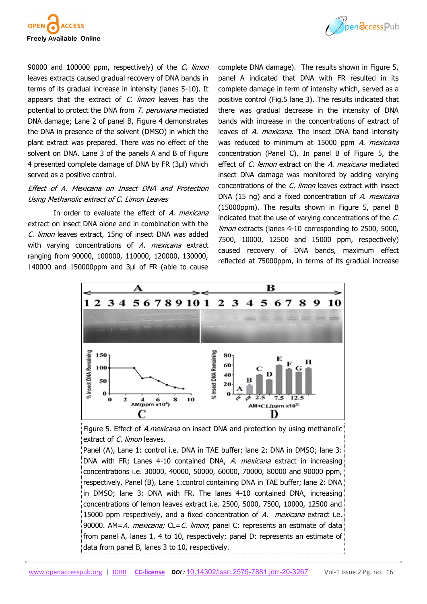



90000 and 100000 ppm, respectively) of the C. limon leaves extracts caused gradual recovery of DNA bands in terms of its gradual increase in intensity (lanes 5-10). It appears that the extract of C. limon leaves has the potential to protect the DNA from T. peruviana mediated DNA damage; Lane 2 of panel B, Figure 4 demonstrates the DNA in presence of the solvent (DMSO) in which the plant extract was prepared. There was no effect of the solvent on DNA. Lane 3 of the panels A and B of Figure 4 presented complete damage of DNA by FR (3µl) which served as a positive control.

## Effect of A. Mexicana on Insect DNA and Protection Using Methanolic extract of C. Limon Leaves

In order to evaluate the effect of A. mexicana extract on insect DNA alone and in combination with the C. limon leaves extract, 15ng of insect DNA was added with varying concentrations of A. mexicana extract ranging from 90000, 100000, 110000, 120000, 130000, 140000 and 150000ppm and 3µl of FR (able to cause

complete DNA damage). The results shown in Figure 5, panel A indicated that DNA with FR resulted in its complete damage in term of intensity which, served as a positive control (Fig.5 lane 3). The results indicated that there was gradual decrease in the intensity of DNA bands with increase in the concentrations of extract of leaves of A. mexicana. The insect DNA band intensity was reduced to minimum at 15000 ppm A. mexicana concentration (Panel C). In panel B of Figure 5, the effect of C. lemon extract on the A. mexicana mediated insect DNA damage was monitored by adding varying concentrations of the *C. limon* leaves extract with insect DNA (15 ng) and a fixed concentration of A. mexicana (15000ppm). The results shown in Figure 5, panel B indicated that the use of varying concentrations of the C. limon extracts (lanes 4-10 corresponding to 2500, 5000, 7500, 10000, 12500 and 15000 ppm, respectively) caused recovery of DNA bands, maximum effect reflected at 75000ppm, in terms of its gradual increase



Figure 5. Effect of *A.mexicana* on insect DNA and protection by using methanolic extract of C. limon leaves.

Panel (A), Lane 1: control i.e. DNA in TAE buffer; lane 2: DNA in DMSO; lane 3: DNA with FR; Lanes 4-10 contained DNA, A. mexicana extract in increasing concentrations i.e. 30000, 40000, 50000, 60000, 70000, 80000 and 90000 ppm, respectively. Panel (B), Lane 1:control containing DNA in TAE buffer; lane 2: DNA in DMSO; lane 3: DNA with FR. The lanes 4-10 contained DNA, increasing concentrations of lemon leaves extract i.e. 2500, 5000, 7500, 10000, 12500 and 15000 ppm respectively, and a fixed concentration of A. mexicana extract i.e. 90000. AM=A. mexicana; CL=C. limon; panel C: represents an estimate of data from panel A, lanes 1, 4 to 10, respectively; panel D: represents an estimate of data from panel B, lanes 3 to 10, respectively.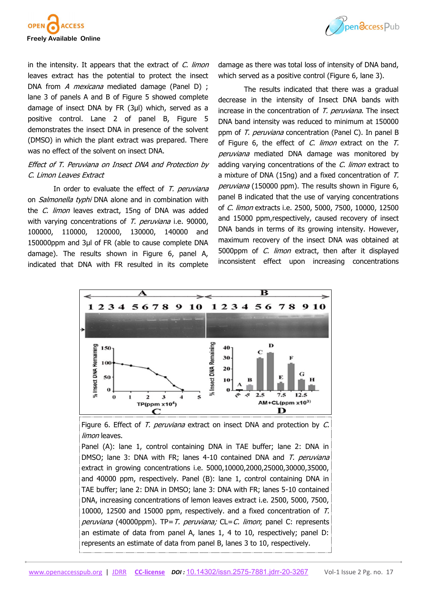



in the intensity. It appears that the extract of  $C$ . limon leaves extract has the potential to protect the insect DNA from A mexicana mediated damage (Panel D) ; lane 3 of panels A and B of Figure 5 showed complete damage of insect DNA by FR (3µl) which, served as a positive control. Lane 2 of panel B, Figure 5 demonstrates the insect DNA in presence of the solvent (DMSO) in which the plant extract was prepared. There was no effect of the solvent on insect DNA.

# Effect of T. Peruviana on Insect DNA and Protection by C. Limon Leaves Extract

In order to evaluate the effect of  $T$ . peruviana on *Salmonella typhi* DNA alone and in combination with the *C. limon* leaves extract, 15ng of DNA was added with varying concentrations of T. peruviana i.e. 90000, 100000, 110000, 120000, 130000, 140000 and 150000ppm and 3µl of FR (able to cause complete DNA damage). The results shown in Figure 6, panel A, indicated that DNA with FR resulted in its complete damage as there was total loss of intensity of DNA band, which served as a positive control (Figure 6, lane 3).

The results indicated that there was a gradual decrease in the intensity of Insect DNA bands with increase in the concentration of T. peruviana. The insect DNA band intensity was reduced to minimum at 150000 ppm of T. peruviana concentration (Panel C). In panel B of Figure 6, the effect of  $C$ . limon extract on the  $T$ . peruviana mediated DNA damage was monitored by adding varying concentrations of the  $C$ . limon extract to a mixture of DNA (15ng) and a fixed concentration of T. peruviana (150000 ppm). The results shown in Figure 6, panel B indicated that the use of varying concentrations of C. limon extracts i.e. 2500, 5000, 7500, 10000, 12500 and 15000 ppm,respectively, caused recovery of insect DNA bands in terms of its growing intensity. However, maximum recovery of the insect DNA was obtained at 5000ppm of *C. limon* extract, then after it displayed inconsistent effect upon increasing concentrations



Figure 6. Effect of T. peruviana extract on insect DNA and protection by C. limon leaves.

Panel (A): lane 1, control containing DNA in TAE buffer; lane 2: DNA in DMSO; lane 3: DNA with FR; lanes 4-10 contained DNA and T. peruviana extract in growing concentrations i.e. 5000,10000,2000,25000,30000,35000, and 40000 ppm, respectively. Panel (B): lane 1, control containing DNA in TAE buffer; lane 2: DNA in DMSO; lane 3: DNA with FR; lanes 5-10 contained DNA, increasing concentrations of lemon leaves extract i.e. 2500, 5000, 7500, 10000, 12500 and 15000 ppm, respectively. and a fixed concentration of T. peruviana (40000ppm). TP= T. peruviana;  $CL = C$ . limon; panel C: represents an estimate of data from panel A, lanes 1, 4 to 10, respectively; panel D: represents an estimate of data from panel B, lanes 3 to 10, respectively.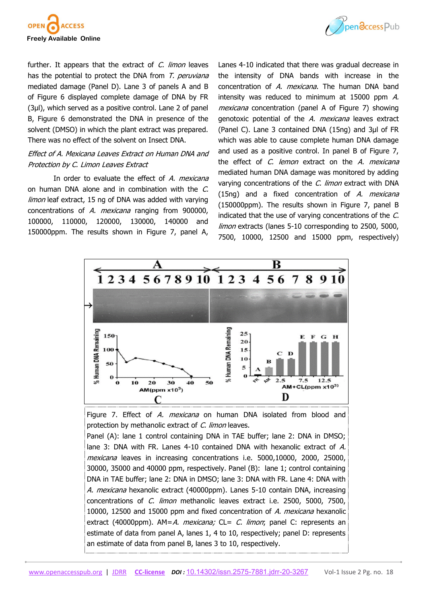



further. It appears that the extract of  $C$ . limon leaves has the potential to protect the DNA from T. peruviana mediated damage (Panel D). Lane 3 of panels A and B of Figure 6 displayed complete damage of DNA by FR (3µl), which served as a positive control. Lane 2 of panel B, Figure 6 demonstrated the DNA in presence of the solvent (DMSO) in which the plant extract was prepared. There was no effect of the solvent on Insect DNA.

# Effect of A. Mexicana Leaves Extract on Human DNA and Protection by C. Limon Leaves Extract

In order to evaluate the effect of A. mexicana on human DNA alone and in combination with the C. limon leaf extract, 15 ng of DNA was added with varying concentrations of A. *mexicana* ranging from 900000. 100000, 110000, 120000, 130000, 140000 and 150000ppm. The results shown in Figure 7, panel A,

Lanes 4-10 indicated that there was gradual decrease in the intensity of DNA bands with increase in the concentration of A. mexicana. The human DNA band intensity was reduced to minimum at 15000 ppm A. mexicana concentration (panel A of Figure 7) showing genotoxic potential of the A. mexicana leaves extract (Panel C). Lane 3 contained DNA (15ng) and 3µl of FR which was able to cause complete human DNA damage and used as a positive control. In panel B of Figure 7, the effect of C. lemon extract on the A. mexicana mediated human DNA damage was monitored by adding varying concentrations of the C. limon extract with DNA (15ng) and a fixed concentration of  $A$ . *mexicana* (150000ppm). The results shown in Figure 7, panel B indicated that the use of varying concentrations of the C. limon extracts (lanes 5-10 corresponding to 2500, 5000, 7500, 10000, 12500 and 15000 ppm, respectively)



Figure 7. Effect of A. mexicana on human DNA isolated from blood and protection by methanolic extract of C. limon leaves. Panel (A): lane 1 control containing DNA in TAE buffer; lane 2: DNA in DMSO;

lane 3: DNA with FR. Lanes 4-10 contained DNA with hexanolic extract of A. mexicana leaves in increasing concentrations i.e. 5000,10000, 2000, 25000, 30000, 35000 and 40000 ppm, respectively. Panel (B): lane 1; control containing DNA in TAE buffer; lane 2: DNA in DMSO; lane 3: DNA with FR. Lane 4: DNA with A. mexicana hexanolic extract (40000ppm). Lanes 5-10 contain DNA, increasing concentrations of C. limon methanolic leaves extract i.e. 2500, 5000, 7500, 10000, 12500 and 15000 ppm and fixed concentration of A. mexicana hexanolic extract (40000ppm).  $AM = A$ . *mexicana;* CL= C. *limon*; panel C: represents an estimate of data from panel A, lanes 1, 4 to 10, respectively; panel D: represents an estimate of data from panel B, lanes 3 to 10, respectively.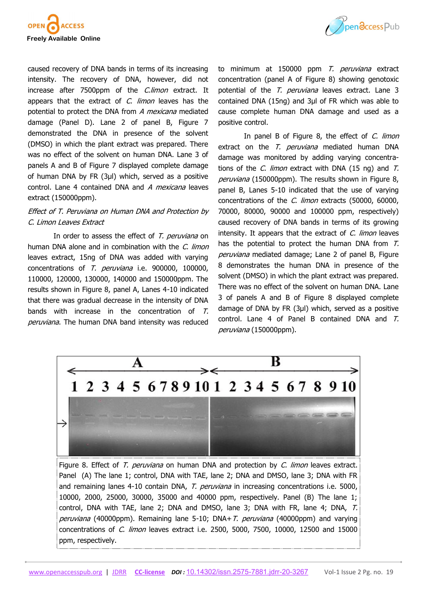



caused recovery of DNA bands in terms of its increasing intensity. The recovery of DNA, however, did not increase after 7500ppm of the *C.limon* extract. It appears that the extract of  $C$ . *limon* leaves has the potential to protect the DNA from A mexicana mediated damage (Panel D). Lane 2 of panel B, Figure 7 demonstrated the DNA in presence of the solvent (DMSO) in which the plant extract was prepared. There was no effect of the solvent on human DNA. Lane 3 of panels A and B of Figure 7 displayed complete damage of human DNA by FR (3µl) which, served as a positive control. Lane 4 contained DNA and A mexicana leaves extract (150000ppm).

# Effect of T. Peruviana on Human DNA and Protection by C. Limon Leaves Extract

In order to assess the effect of T. peruviana on human DNA alone and in combination with the C. limon leaves extract, 15ng of DNA was added with varying concentrations of T. peruviana i.e. 900000, 100000, 110000, 120000, 130000, 140000 and 150000ppm. The results shown in Figure 8, panel A, Lanes 4-10 indicated that there was gradual decrease in the intensity of DNA bands with increase in the concentration of  $T$ . peruviana. The human DNA band intensity was reduced to minimum at 150000 ppm T. peruviana extract concentration (panel A of Figure 8) showing genotoxic potential of the T. peruviana leaves extract. Lane 3 contained DNA (15ng) and 3µl of FR which was able to cause complete human DNA damage and used as a positive control.

In panel B of Figure 8, the effect of C. limon extract on the T. *peruviana* mediated human DNA damage was monitored by adding varying concentrations of the C. limon extract with DNA (15 ng) and  $T$ . peruviana (150000ppm). The results shown in Figure 8, panel B, Lanes 5-10 indicated that the use of varying concentrations of the C. limon extracts (50000, 60000, 70000, 80000, 90000 and 100000 ppm, respectively) caused recovery of DNA bands in terms of its growing intensity. It appears that the extract of  $C$ . *limon* leaves has the potential to protect the human DNA from T. peruviana mediated damage; Lane 2 of panel B, Figure 8 demonstrates the human DNA in presence of the solvent (DMSO) in which the plant extract was prepared. There was no effect of the solvent on human DNA. Lane 3 of panels A and B of Figure 8 displayed complete damage of DNA by FR (3µl) which, served as a positive control. Lane 4 of Panel B contained DNA and T. peruviana (150000ppm).



Figure 8. Effect of T. peruviana on human DNA and protection by C. limon leaves extract. Panel (A) The lane 1; control, DNA with TAE, lane 2; DNA and DMSO, lane 3; DNA with FR and remaining lanes 4-10 contain DNA, T. peruviana in increasing concentrations i.e. 5000, 10000, 2000, 25000, 30000, 35000 and 40000 ppm, respectively. Panel (B) The lane 1; control, DNA with TAE, lane 2; DNA and DMSO, lane 3; DNA with FR, lane 4; DNA, T. peruviana (40000ppm). Remaining lane 5-10; DNA+ T. peruviana (40000ppm) and varying concentrations of C. limon leaves extract i.e. 2500, 5000, 7500, 10000, 12500 and 15000 ppm, respectively.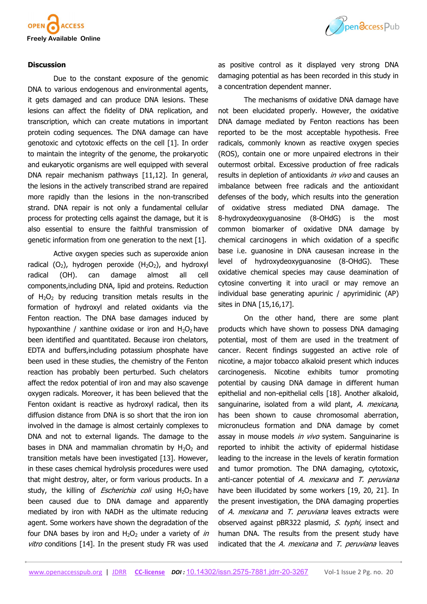

#### **Discussion**

Due to the constant exposure of the genomic DNA to various endogenous and environmental agents, it gets damaged and can produce DNA lesions. These lesions can affect the fidelity of DNA replication, and transcription, which can create mutations in important protein coding sequences. The DNA damage can have genotoxic and cytotoxic effects on the cell [1]. In order to maintain the integrity of the genome, the prokaryotic and eukaryotic organisms are well equipped with several DNA repair mechanism pathways [11,12]. In general, the lesions in the actively transcribed strand are repaired more rapidly than the lesions in the non-transcribed strand. DNA repair is not only a fundamental cellular process for protecting cells against the damage, but it is also essential to ensure the faithful transmission of genetic information from one generation to the next [1].

Active oxygen species such as superoxide anion radical  $(O_2)$ , hydrogen peroxide  $(H_2O_2)$ , and hydroxyl radical (OH). can damage almost all cell components,including DNA, lipid and proteins. Reduction of  $H_2O_2$  by reducing transition metals results in the formation of hydroxyl and related oxidants via the Fenton reaction. The DNA base damages induced by hypoxanthine / xanthine oxidase or iron and  $H_2O_2$  have been identified and quantitated. Because iron chelators, EDTA and buffers,including potassium phosphate have been used in these studies, the chemistry of the Fenton reaction has probably been perturbed. Such chelators affect the redox potential of iron and may also scavenge oxygen radicals. Moreover, it has been believed that the Fenton oxidant is reactive as hydroxyl radical, then its diffusion distance from DNA is so short that the iron ion involved in the damage is almost certainly complexes to DNA and not to external ligands. The damage to the bases in DNA and mammalian chromatin by  $H_2O_2$  and transition metals have been investigated [13]. However, in these cases chemical hydrolysis procedures were used that might destroy, alter, or form various products. In a study, the killing of *Escherichia coli* using  $H_2O_2$  have been caused due to DNA damage and apparently mediated by iron with NADH as the ultimate reducing agent. Some workers have shown the degradation of the four DNA bases by iron and  $H_2O_2$  under a variety of in vitro conditions [14]. In the present study FR was used



as positive control as it displayed very strong DNA damaging potential as has been recorded in this study in a concentration dependent manner.

The mechanisms of oxidative DNA damage have not been elucidated properly. However, the oxidative DNA damage mediated by Fenton reactions has been reported to be the most acceptable hypothesis. Free radicals, commonly known as reactive oxygen species (ROS), contain one or more unpaired electrons in their outermost orbital. Excessive production of free radicals results in depletion of antioxidants in vivo and causes an imbalance between free radicals and the antioxidant defenses of the body, which results into the generation of oxidative stress mediated DNA damage. The 8-hydroxydeoxyguanosine (8-OHdG) is the most common biomarker of oxidative DNA damage by chemical carcinogens in which oxidation of a specific base i.e. guanosine in DNA causesan increase in the level of hydroxydeoxyguanosine (8-OHdG). These oxidative chemical species may cause deamination of cytosine converting it into uracil or may remove an individual base generating apurinic / apyrimidinic (AP) sites in DNA [15,16,17].

On the other hand, there are some plant products which have shown to possess DNA damaging potential, most of them are used in the treatment of cancer. Recent findings suggested an active role of nicotine, a major tobacco alkaloid present which induces carcinogenesis. Nicotine exhibits tumor promoting potential by causing DNA damage in different human epithelial and non-epithelial cells [18]. Another alkaloid, sanguinarine, isolated from a wild plant, A. mexicana, has been shown to cause chromosomal aberration, micronucleus formation and DNA damage by comet assay in mouse models in vivo system. Sanguinarine is reported to inhibit the activity of epidermal histidase leading to the increase in the levels of keratin formation and tumor promotion. The DNA damaging, cytotoxic, anti-cancer potential of  $A$ . mexicana and  $T$ . peruviana have been illucidated by some workers [19, 20, 21]. In the present investigation, the DNA damaging properties of A. mexicana and T. peruviana leaves extracts were observed against pBR322 plasmid, S. typhi, insect and human DNA. The results from the present study have indicated that the  $A$ . mexicana and  $T$ . peruviana leaves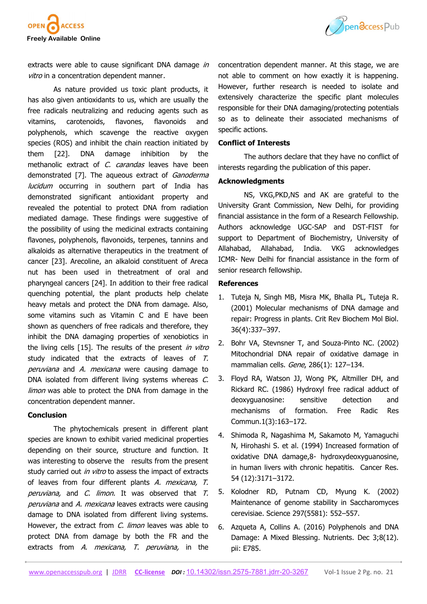



extracts were able to cause significant DNA damage in vitro in a concentration dependent manner.

As nature provided us toxic plant products, it has also given antioxidants to us, which are usually the free radicals neutralizing and reducing agents such as vitamins, carotenoids, flavones, flavonoids and polyphenols, which scavenge the reactive oxygen species (ROS) and inhibit the chain reaction initiated by them [22]. DNA damage inhibition by the methanolic extract of C. carandas leaves have been demonstrated [7]. The aqueous extract of Ganoderma lucidum occurring in southern part of India has demonstrated significant antioxidant property and revealed the potential to protect DNA from radiation mediated damage. These findings were suggestive of the possibility of using the medicinal extracts containing flavones, polyphenols, flavonoids, terpenes, tannins and alkaloids as alternative therapeutics in the treatment of cancer [23]. Arecoline, an alkaloid constituent of Areca nut has been used in thetreatment of oral and pharyngeal cancers [24]. In addition to their free radical quenching potential, the plant products help chelate heavy metals and protect the DNA from damage. Also, some vitamins such as Vitamin C and E have been shown as quenchers of free radicals and therefore, they inhibit the DNA damaging properties of xenobiotics in the living cells [15]. The results of the present in vitro study indicated that the extracts of leaves of T. peruviana and A. mexicana were causing damage to DNA isolated from different living systems whereas C. limon was able to protect the DNA from damage in the concentration dependent manner.

#### **Conclusion**

The phytochemicals present in different plant species are known to exhibit varied medicinal properties depending on their source, structure and function. It was interesting to observe the results from the present study carried out *in vitro* to assess the impact of extracts of leaves from four different plants A. mexicana, T. peruviana, and C. limon. It was observed that T. peruviana and A. mexicana leaves extracts were causing damage to DNA isolated from different living systems. However, the extract from *C. limon* leaves was able to protect DNA from damage by both the FR and the extracts from A. *mexicana*, T. *peruviana*, in the

concentration dependent manner. At this stage, we are not able to comment on how exactly it is happening. However, further research is needed to isolate and extensively characterize the specific plant molecules responsible for their DNA damaging/protecting potentials so as to delineate their associated mechanisms of specific actions.

## **Conflict of Interests**

The authors declare that they have no conflict of interests regarding the publication of this paper.

## **Acknowledgments**

NS, VKG,PKD,NS and AK are grateful to the University Grant Commission, New Delhi, for providing financial assistance in the form of a Research Fellowship. Authors acknowledge UGC-SAP and DST-FIST for support to Department of Biochemistry, University of Allahabad, Allahabad, India. VKG acknowledges ICMR- New Delhi for financial assistance in the form of senior research fellowship.

#### **References**

- 1. Tuteja N, Singh MB, Misra MK, Bhalla PL, Tuteja R. (2001) Molecular mechanisms of DNA damage and repair: Progress in plants. Crit Rev Biochem Mol Biol. 36(4):337–397.
- 2. Bohr VA, Stevnsner T, and Souza-Pinto NC. (2002) Mitochondrial DNA repair of oxidative damage in mammalian cells. Gene, 286(1): 127–134.
- 3. Floyd RA, Watson JJ, Wong PK, Altmiller DH, and Rickard RC. (1986) Hydroxyl free radical adduct of deoxyguanosine: sensitive detection and mechanisms of formation. Free Radic Res Commun.1(3):163–172.
- 4. Shimoda R, Nagashima M, Sakamoto M, Yamaguchi N, Hirohashi S. et al. (1994) Increased formation of oxidative DNA damage,8- hydroxydeoxyguanosine, in human livers with chronic hepatitis. Cancer Res. 54 (12):3171–3172.
- 5. Kolodner RD, Putnam CD, Myung K. (2002) Maintenance of genome stability in Saccharomyces cerevisiae. Science 297(5581): 552–557.
- 6. Azqueta A, Collins A. (2016) Polyphenols and DNA Damage: A Mixed Blessing. Nutrients. Dec 3;8(12). pii: E785.